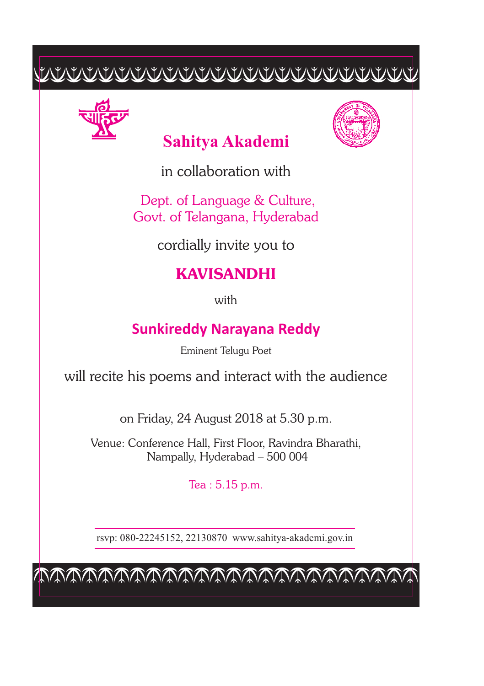# cccccccccccccccccccccccc



### **Sahitya Akademi**

in collaboration with

Dept. of Language & Culture, Govt. of Telangana, Hyderabad

cordially invite you to

### **KAVISANDHI**

with

#### **Sunkireddy Narayana Reddy**

Eminent Telugu Poet

will recite his poems and interact with the audience

on Friday, 24 August 2018 at 5.30 p.m.

Venue: Conference Hall, First Floor, Ravindra Bharathi, Nampally, Hyderabad – 500 004

Tea : 5.15 p.m.

rsvp: 080-22245152, 22130870 www.sahitya-akademi.gov.in

cccccccccccccccccccccccc